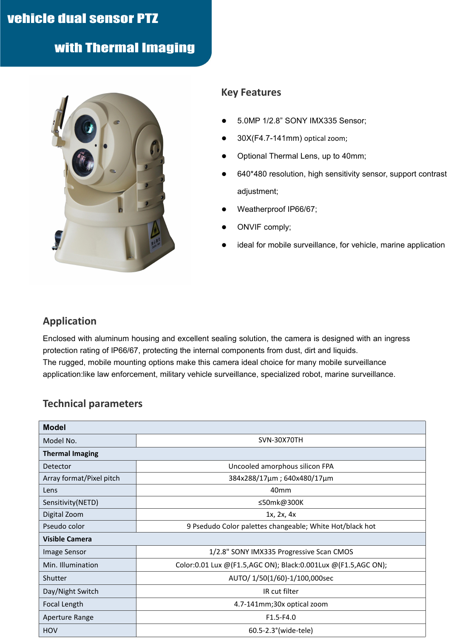## vehicle dual sensor PTZ

with Thermal Imaging



## **Key Features**

- 5.0MP 1/2.8" SONY IMX335 Sensor;
- 30X(F4.7-141mm) optical zoom;
- Optional Thermal Lens, up to 40mm;
- 640\*480 resolution, high sensitivity sensor, support contrast adjustment;
- Weatherproof IP66/67;
- ONVIF comply;
- ideal for mobile surveillance, for vehicle, marine application

## **Application**

Enclosed with aluminum housing and excellent sealing solution, the camera is designed with an ingress protection rating of IP66/67, protecting the internal components from dust, dirt and liquids. The rugged, mobile mounting options make this camera ideal choice for many mobile surveillance application:like law enforcement, military vehicle surveillance, specialized robot, marine surveillance.

## **Technical parameters**

| <b>Model</b>             |                                                               |
|--------------------------|---------------------------------------------------------------|
| Model No.                | SVN-30X70TH                                                   |
| <b>Thermal Imaging</b>   |                                                               |
| Detector                 | Uncooled amorphous silicon FPA                                |
| Array format/Pixel pitch | 384x288/17µm; 640x480/17µm                                    |
| Lens                     | 40 <sub>mm</sub>                                              |
| Sensitivity (NETD)       | ≤50mk@300K                                                    |
| Digital Zoom             | 1x, 2x, 4x                                                    |
| Pseudo color             | 9 Psedudo Color palettes changeable; White Hot/black hot      |
| <b>Visible Camera</b>    |                                                               |
| Image Sensor             | 1/2.8" SONY IMX335 Progressive Scan CMOS                      |
| Min. Illumination        | Color:0.01 Lux @(F1.5,AGC ON); Black:0.001Lux @(F1.5,AGC ON); |
| Shutter                  | AUTO/ 1/50(1/60)-1/100,000sec                                 |
| Day/Night Switch         | IR cut filter                                                 |
| Focal Length             | 4.7-141mm;30x optical zoom                                    |
| Aperture Range           | $F1.5-F4.0$                                                   |
| HOV                      | 60.5-2.3° (wide-tele)                                         |